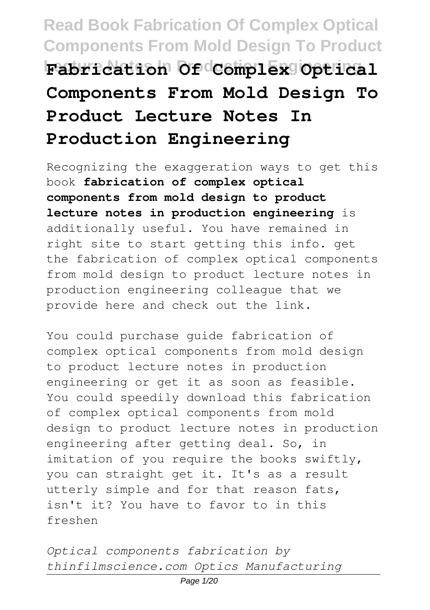# **Read Book Fabrication Of Complex Optical Components From Mold Design To Product Lecture Notes In Production Engineering Fabrication Of Complex Optical Components From Mold Design To Product Lecture Notes In Production Engineering**

Recognizing the exaggeration ways to get this book **fabrication of complex optical components from mold design to product lecture notes in production engineering** is additionally useful. You have remained in right site to start getting this info. get the fabrication of complex optical components from mold design to product lecture notes in production engineering colleague that we provide here and check out the link.

You could purchase guide fabrication of complex optical components from mold design to product lecture notes in production engineering or get it as soon as feasible. You could speedily download this fabrication of complex optical components from mold design to product lecture notes in production engineering after getting deal. So, in imitation of you require the books swiftly, you can straight get it. It's as a result utterly simple and for that reason fats, isn't it? You have to favor to in this freshen

*Optical components fabrication by thinfilmscience.com Optics Manufacturing*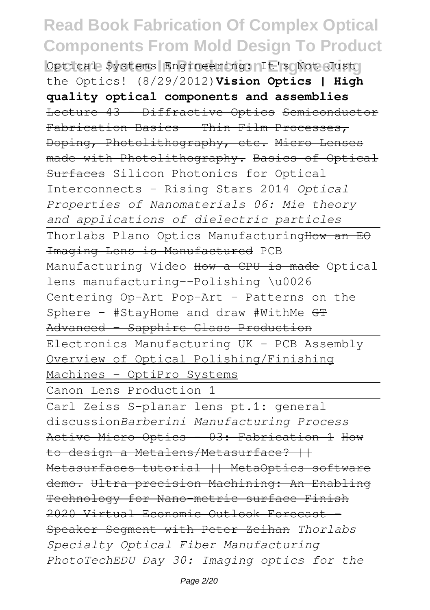### **Read Book Fabrication Of Complex Optical Components From Mold Design To Product Optical Systems Engineering: It's Not Just** the Optics! (8/29/2012)**Vision Optics | High quality optical components and assemblies** Lecture 43 - Diffractive Optics Semiconductor Fabrication Basics - Thin Film Processes, Doping, Photolithography, etc. Micro Lenses made with Photolithography. Basics of Optical Surfaces Silicon Photonics for Optical Interconnects - Rising Stars 2014 *Optical Properties of Nanomaterials 06: Mie theory and applications of dielectric particles* Thorlabs Plano Optics ManufacturingHow an EO Imaging Lens is Manufactured PCB Manufacturing Video How a CPU is made Optical lens manufacturing--Polishing \u0026 Centering Op-Art Pop-Art - Patterns on the Sphere - #StayHome and draw #WithMe GT Advanced - Sapphire Glass Production Electronics Manufacturing UK - PCB Assembly Overview of Optical Polishing/Finishing Machines - OptiPro Systems Canon Lens Production 1 Carl Zeiss S-planar lens pt.1: general discussion*Barberini Manufacturing Process* Active Micro-Optics - 03: Fabrication 1 How to design a Metalens/Metasurface? ++ Metasurfaces tutorial || MetaOptics software demo. Ultra precision Machining: An Enabling Technology for Nano-metric surface Finish 2020 Virtual Economic Outlook Forecast - Speaker Segment with Peter Zeihan *Thorlabs Specialty Optical Fiber Manufacturing PhotoTechEDU Day 30: Imaging optics for the*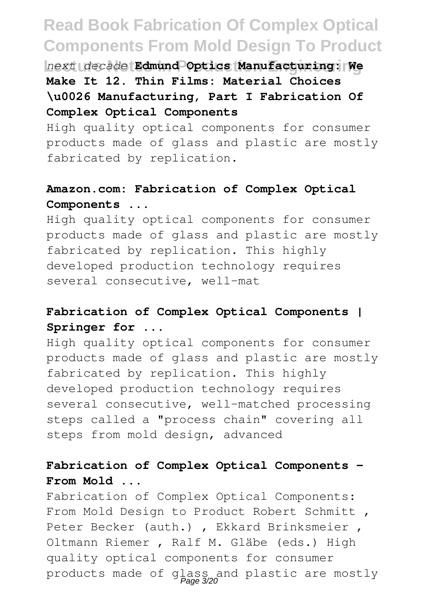**Lecture Notes In Production Engineering** *next decade* **Edmund Optics Manufacturing: We Make It 12. Thin Films: Material Choices \u0026 Manufacturing, Part I Fabrication Of Complex Optical Components**

High quality optical components for consumer products made of glass and plastic are mostly fabricated by replication.

### **Amazon.com: Fabrication of Complex Optical Components ...**

High quality optical components for consumer products made of glass and plastic are mostly fabricated by replication. This highly developed production technology requires several consecutive, well-mat

### **Fabrication of Complex Optical Components | Springer for ...**

High quality optical components for consumer products made of glass and plastic are mostly fabricated by replication. This highly developed production technology requires several consecutive, well-matched processing steps called a "process chain" covering all steps from mold design, advanced

### **Fabrication of Complex Optical Components - From Mold ...**

Fabrication of Complex Optical Components: From Mold Design to Product Robert Schmitt , Peter Becker (auth.) , Ekkard Brinksmeier , Oltmann Riemer , Ralf M. Gläbe (eds.) High quality optical components for consumer products made of glass and plastic are mostly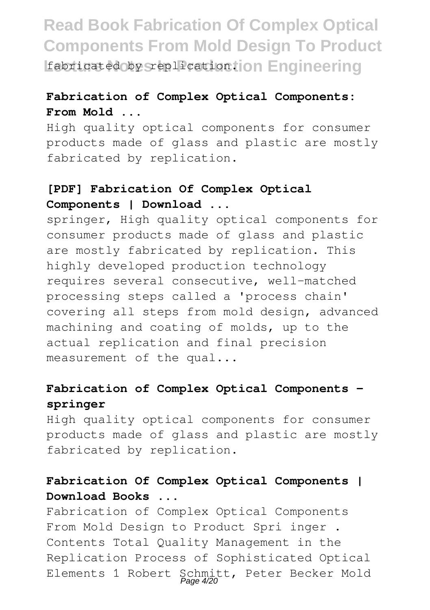**Read Book Fabrication Of Complex Optical Components From Mold Design To Product Leapricated by Steplication ion Engineering** 

### **Fabrication of Complex Optical Components: From Mold ...**

High quality optical components for consumer products made of glass and plastic are mostly fabricated by replication.

#### **[PDF] Fabrication Of Complex Optical Components | Download ...**

springer, High quality optical components for consumer products made of glass and plastic are mostly fabricated by replication. This highly developed production technology requires several consecutive, well-matched processing steps called a 'process chain' covering all steps from mold design, advanced machining and coating of molds, up to the actual replication and final precision measurement of the qual...

#### **Fabrication of Complex Optical Components springer**

High quality optical components for consumer products made of glass and plastic are mostly fabricated by replication.

### **Fabrication Of Complex Optical Components | Download Books ...**

Fabrication of Complex Optical Components From Mold Design to Product Spri inger . Contents Total Quality Management in the Replication Process of Sophisticated Optical Elements 1 Robert Schmitt, Peter Becker Mold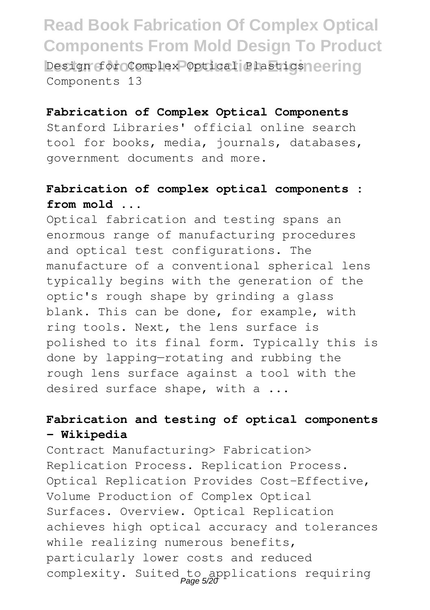**Read Book Fabrication Of Complex Optical Components From Mold Design To Product Design for Complex Optical Plastics neering** Components 13

#### **Fabrication of Complex Optical Components**

Stanford Libraries' official online search tool for books, media, journals, databases, government documents and more.

### **Fabrication of complex optical components : from mold ...**

Optical fabrication and testing spans an enormous range of manufacturing procedures and optical test configurations. The manufacture of a conventional spherical lens typically begins with the generation of the optic's rough shape by grinding a glass blank. This can be done, for example, with ring tools. Next, the lens surface is polished to its final form. Typically this is done by lapping—rotating and rubbing the rough lens surface against a tool with the desired surface shape, with a ...

### **Fabrication and testing of optical components - Wikipedia**

Contract Manufacturing> Fabrication> Replication Process. Replication Process. Optical Replication Provides Cost-Effective, Volume Production of Complex Optical Surfaces. Overview. Optical Replication achieves high optical accuracy and tolerances while realizing numerous benefits, particularly lower costs and reduced complexity. Suited to applications requiring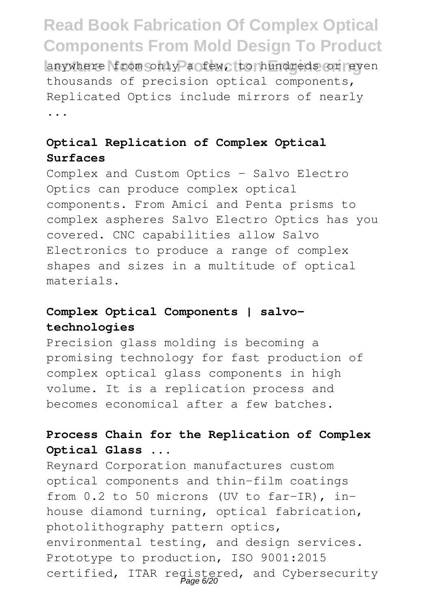### **Read Book Fabrication Of Complex Optical Components From Mold Design To Product** Lanywhere in Composity a few, to hundreds or even thousands of precision optical components, Replicated Optics include mirrors of nearly ...

### **Optical Replication of Complex Optical Surfaces**

Complex and Custom Optics – Salvo Electro Optics can produce complex optical components. From Amici and Penta prisms to complex aspheres Salvo Electro Optics has you covered. CNC capabilities allow Salvo Electronics to produce a range of complex shapes and sizes in a multitude of optical materials.

#### **Complex Optical Components | salvotechnologies**

Precision glass molding is becoming a promising technology for fast production of complex optical glass components in high volume. It is a replication process and becomes economical after a few batches.

### **Process Chain for the Replication of Complex Optical Glass ...**

Reynard Corporation manufactures custom optical components and thin-film coatings from 0.2 to 50 microns (UV to far-IR), inhouse diamond turning, optical fabrication, photolithography pattern optics, environmental testing, and design services. Prototype to production, ISO 9001:2015 certified, ITAR registered, and Cybersecurity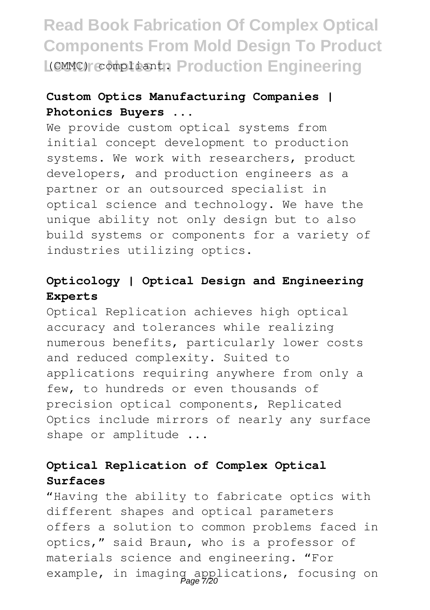## **Read Book Fabrication Of Complex Optical Components From Mold Design To Product L(CMMC) compliant. Production Engineering**

### **Custom Optics Manufacturing Companies | Photonics Buyers ...**

We provide custom optical systems from initial concept development to production systems. We work with researchers, product developers, and production engineers as a partner or an outsourced specialist in optical science and technology. We have the unique ability not only design but to also build systems or components for a variety of industries utilizing optics.

#### **Opticology | Optical Design and Engineering Experts**

Optical Replication achieves high optical accuracy and tolerances while realizing numerous benefits, particularly lower costs and reduced complexity. Suited to applications requiring anywhere from only a few, to hundreds or even thousands of precision optical components, Replicated Optics include mirrors of nearly any surface shape or amplitude ...

### **Optical Replication of Complex Optical Surfaces**

"Having the ability to fabricate optics with different shapes and optical parameters offers a solution to common problems faced in optics," said Braun, who is a professor of materials science and engineering. "For example, in imaging applications, focusing on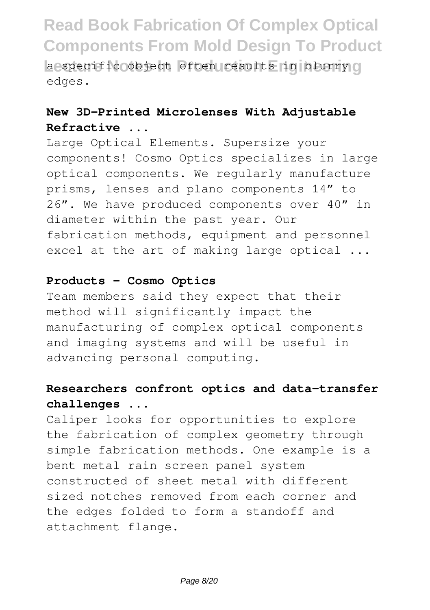**Read Book Fabrication Of Complex Optical Components From Mold Design To Product Lecture 2015 Leading Section Engineering** a specific object often results in blurry of edges.

### **New 3D-Printed Microlenses With Adjustable Refractive ...**

Large Optical Elements. Supersize your components! Cosmo Optics specializes in large optical components. We regularly manufacture prisms, lenses and plano components 14" to 26". We have produced components over 40" in diameter within the past year. Our fabrication methods, equipment and personnel excel at the art of making large optical ...

#### **Products - Cosmo Optics**

Team members said they expect that their method will significantly impact the manufacturing of complex optical components and imaging systems and will be useful in advancing personal computing.

### **Researchers confront optics and data-transfer challenges ...**

Caliper looks for opportunities to explore the fabrication of complex geometry through simple fabrication methods. One example is a bent metal rain screen panel system constructed of sheet metal with different sized notches removed from each corner and the edges folded to form a standoff and attachment flange.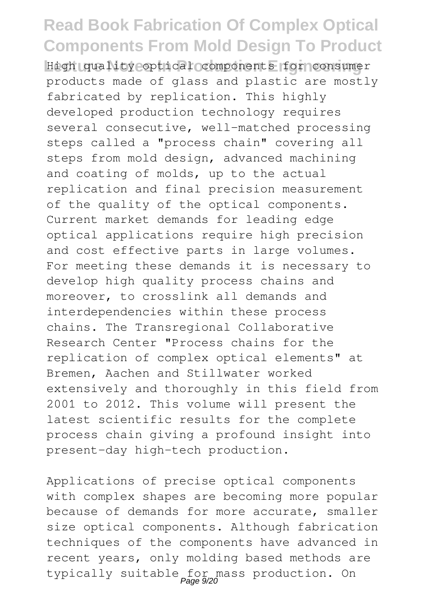**Lecture Notes In Production Engineering** High quality optical components for consumer products made of glass and plastic are mostly fabricated by replication. This highly developed production technology requires several consecutive, well-matched processing steps called a "process chain" covering all steps from mold design, advanced machining and coating of molds, up to the actual replication and final precision measurement of the quality of the optical components. Current market demands for leading edge optical applications require high precision and cost effective parts in large volumes. For meeting these demands it is necessary to develop high quality process chains and moreover, to crosslink all demands and interdependencies within these process chains. The Transregional Collaborative Research Center "Process chains for the replication of complex optical elements" at Bremen, Aachen and Stillwater worked extensively and thoroughly in this field from 2001 to 2012. This volume will present the latest scientific results for the complete process chain giving a profound insight into present-day high-tech production.

Applications of precise optical components with complex shapes are becoming more popular because of demands for more accurate, smaller size optical components. Although fabrication techniques of the components have advanced in recent years, only molding based methods are typically suitable for mass production. On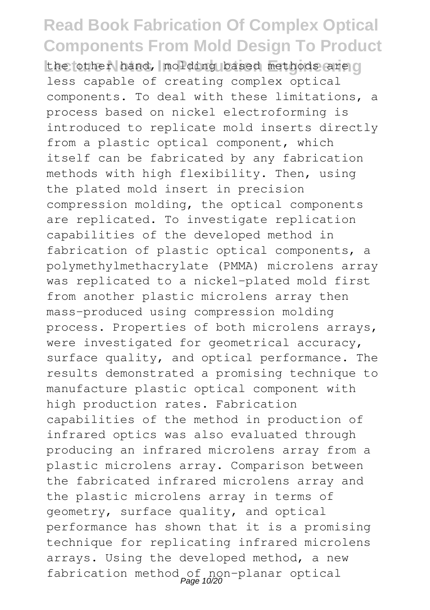the other hand, molding based methods are o less capable of creating complex optical components. To deal with these limitations, a process based on nickel electroforming is introduced to replicate mold inserts directly from a plastic optical component, which itself can be fabricated by any fabrication methods with high flexibility. Then, using the plated mold insert in precision compression molding, the optical components are replicated. To investigate replication capabilities of the developed method in fabrication of plastic optical components, a polymethylmethacrylate (PMMA) microlens array was replicated to a nickel-plated mold first from another plastic microlens array then mass-produced using compression molding process. Properties of both microlens arrays, were investigated for geometrical accuracy, surface quality, and optical performance. The results demonstrated a promising technique to manufacture plastic optical component with high production rates. Fabrication capabilities of the method in production of infrared optics was also evaluated through producing an infrared microlens array from a plastic microlens array. Comparison between the fabricated infrared microlens array and the plastic microlens array in terms of geometry, surface quality, and optical performance has shown that it is a promising technique for replicating infrared microlens arrays. Using the developed method, a new fabrication method of non-planar optical<br>
Page 10/20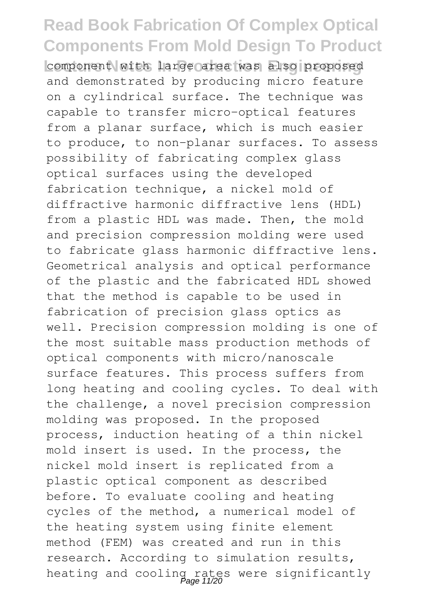**Lecture 10 Leapers In Proposed Lecture In Proposed** and demonstrated by producing micro feature on a cylindrical surface. The technique was capable to transfer micro-optical features from a planar surface, which is much easier to produce, to non-planar surfaces. To assess possibility of fabricating complex glass optical surfaces using the developed fabrication technique, a nickel mold of diffractive harmonic diffractive lens (HDL) from a plastic HDL was made. Then, the mold and precision compression molding were used to fabricate glass harmonic diffractive lens. Geometrical analysis and optical performance of the plastic and the fabricated HDL showed that the method is capable to be used in fabrication of precision glass optics as well. Precision compression molding is one of the most suitable mass production methods of optical components with micro/nanoscale surface features. This process suffers from long heating and cooling cycles. To deal with the challenge, a novel precision compression molding was proposed. In the proposed process, induction heating of a thin nickel mold insert is used. In the process, the nickel mold insert is replicated from a plastic optical component as described before. To evaluate cooling and heating cycles of the method, a numerical model of the heating system using finite element method (FEM) was created and run in this research. According to simulation results, heating and cooling rates were significantly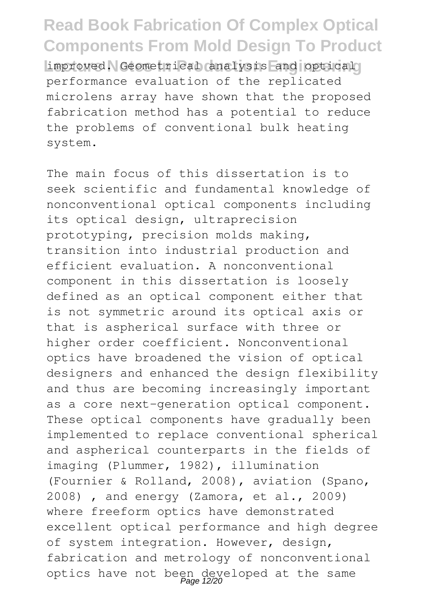**Read Book Fabrication Of Complex Optical Components From Mold Design To Product Limproved.** Geometrical analysis and optical performance evaluation of the replicated microlens array have shown that the proposed fabrication method has a potential to reduce the problems of conventional bulk heating system.

The main focus of this dissertation is to seek scientific and fundamental knowledge of nonconventional optical components including its optical design, ultraprecision prototyping, precision molds making, transition into industrial production and efficient evaluation. A nonconventional component in this dissertation is loosely defined as an optical component either that is not symmetric around its optical axis or that is aspherical surface with three or higher order coefficient. Nonconventional optics have broadened the vision of optical designers and enhanced the design flexibility and thus are becoming increasingly important as a core next-generation optical component. These optical components have gradually been implemented to replace conventional spherical and aspherical counterparts in the fields of imaging (Plummer, 1982), illumination (Fournier & Rolland, 2008), aviation (Spano, 2008) , and energy (Zamora, et al., 2009) where freeform optics have demonstrated excellent optical performance and high degree of system integration. However, design, fabrication and metrology of nonconventional optics have not been developed at the same Page 12/20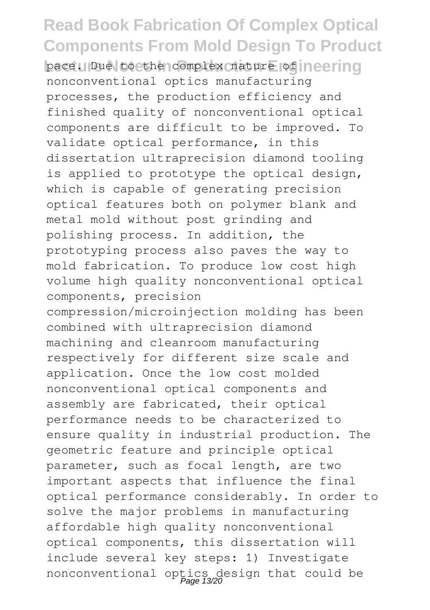**Read Book Fabrication Of Complex Optical Components From Mold Design To Product** pace. Due to the complex nature of ineering nonconventional optics manufacturing processes, the production efficiency and finished quality of nonconventional optical components are difficult to be improved. To validate optical performance, in this dissertation ultraprecision diamond tooling is applied to prototype the optical design, which is capable of generating precision optical features both on polymer blank and metal mold without post grinding and polishing process. In addition, the prototyping process also paves the way to mold fabrication. To produce low cost high volume high quality nonconventional optical components, precision compression/microinjection molding has been combined with ultraprecision diamond machining and cleanroom manufacturing respectively for different size scale and application. Once the low cost molded nonconventional optical components and assembly are fabricated, their optical performance needs to be characterized to ensure quality in industrial production. The geometric feature and principle optical parameter, such as focal length, are two important aspects that influence the final optical performance considerably. In order to solve the major problems in manufacturing affordable high quality nonconventional optical components, this dissertation will include several key steps: 1) Investigate nonconventional optics design that could be Page 13/20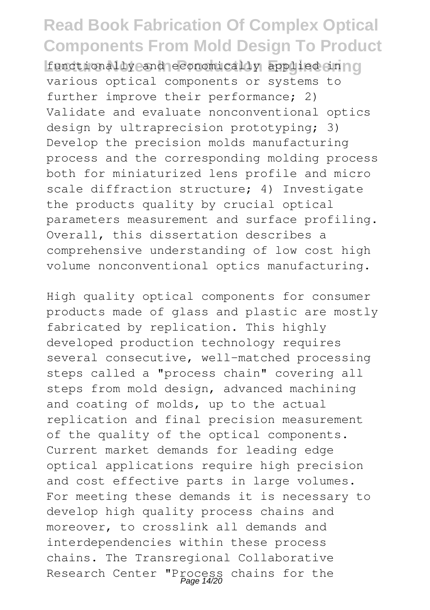**Leature Indianally and algorithm Engineering** functionally and economically applied in  $\log n$ various optical components or systems to further improve their performance; 2) Validate and evaluate nonconventional optics design by ultraprecision prototyping; 3) Develop the precision molds manufacturing process and the corresponding molding process both for miniaturized lens profile and micro scale diffraction structure; 4) Investigate the products quality by crucial optical parameters measurement and surface profiling. Overall, this dissertation describes a comprehensive understanding of low cost high volume nonconventional optics manufacturing.

High quality optical components for consumer products made of glass and plastic are mostly fabricated by replication. This highly developed production technology requires several consecutive, well-matched processing steps called a "process chain" covering all steps from mold design, advanced machining and coating of molds, up to the actual replication and final precision measurement of the quality of the optical components. Current market demands for leading edge optical applications require high precision and cost effective parts in large volumes. For meeting these demands it is necessary to develop high quality process chains and moreover, to crosslink all demands and interdependencies within these process chains. The Transregional Collaborative Research Center "Process chains for the<br>Page 14/20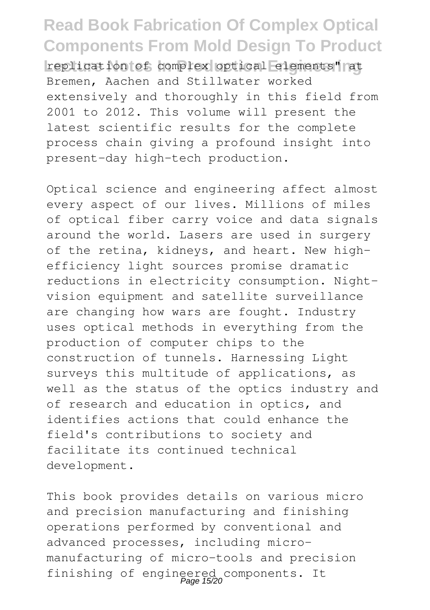**Read Book Fabrication Of Complex Optical Components From Mold Design To Product** replication of complex optical elements" at Bremen, Aachen and Stillwater worked extensively and thoroughly in this field from 2001 to 2012. This volume will present the latest scientific results for the complete process chain giving a profound insight into present-day high-tech production.

Optical science and engineering affect almost every aspect of our lives. Millions of miles of optical fiber carry voice and data signals around the world. Lasers are used in surgery of the retina, kidneys, and heart. New highefficiency light sources promise dramatic reductions in electricity consumption. Nightvision equipment and satellite surveillance are changing how wars are fought. Industry uses optical methods in everything from the production of computer chips to the construction of tunnels. Harnessing Light surveys this multitude of applications, as well as the status of the optics industry and of research and education in optics, and identifies actions that could enhance the field's contributions to society and facilitate its continued technical development.

This book provides details on various micro and precision manufacturing and finishing operations performed by conventional and advanced processes, including micromanufacturing of micro-tools and precision finishing of engineered components. It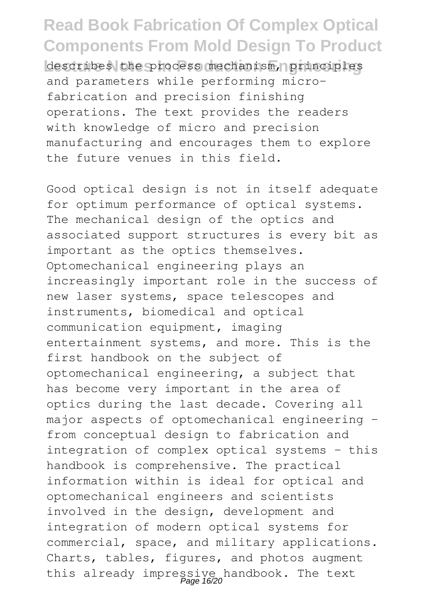describes the process mechanism, principles and parameters while performing microfabrication and precision finishing operations. The text provides the readers with knowledge of micro and precision manufacturing and encourages them to explore the future venues in this field.

Good optical design is not in itself adequate for optimum performance of optical systems. The mechanical design of the optics and associated support structures is every bit as important as the optics themselves. Optomechanical engineering plays an increasingly important role in the success of new laser systems, space telescopes and instruments, biomedical and optical communication equipment, imaging entertainment systems, and more. This is the first handbook on the subject of optomechanical engineering, a subject that has become very important in the area of optics during the last decade. Covering all major aspects of optomechanical engineering from conceptual design to fabrication and integration of complex optical systems - this handbook is comprehensive. The practical information within is ideal for optical and optomechanical engineers and scientists involved in the design, development and integration of modern optical systems for commercial, space, and military applications. Charts, tables, figures, and photos augment this already impressive handbook. The text<br>Page 16/20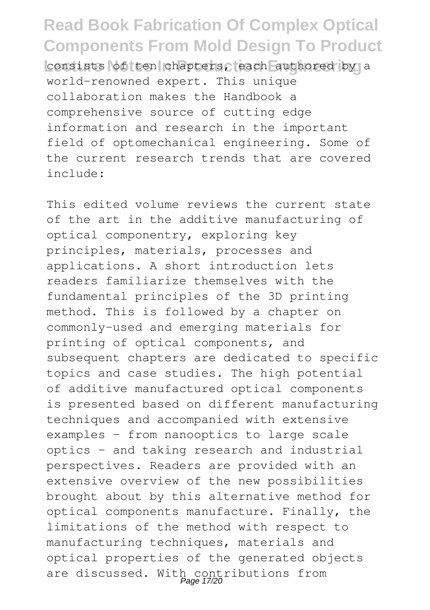**Read Book Fabrication Of Complex Optical Components From Mold Design To Product** consists of ten chapters, each authored by a world-renowned expert. This unique collaboration makes the Handbook a comprehensive source of cutting edge information and research in the important field of optomechanical engineering. Some of the current research trends that are covered include:

This edited volume reviews the current state of the art in the additive manufacturing of optical componentry, exploring key principles, materials, processes and applications. A short introduction lets readers familiarize themselves with the fundamental principles of the 3D printing method. This is followed by a chapter on commonly-used and emerging materials for printing of optical components, and subsequent chapters are dedicated to specific topics and case studies. The high potential of additive manufactured optical components is presented based on different manufacturing techniques and accompanied with extensive examples – from nanooptics to large scale optics – and taking research and industrial perspectives. Readers are provided with an extensive overview of the new possibilities brought about by this alternative method for optical components manufacture. Finally, the limitations of the method with respect to manufacturing techniques, materials and optical properties of the generated objects are discussed. With contributions from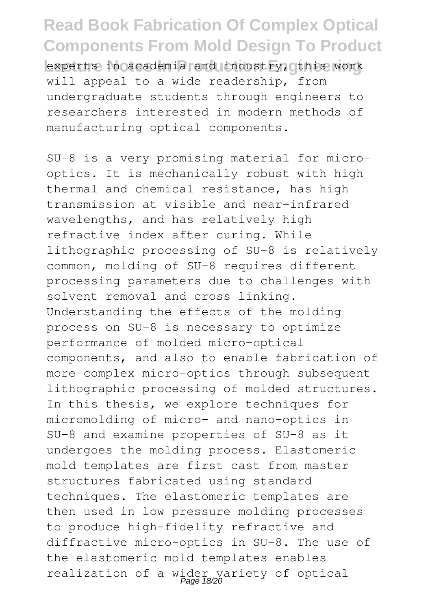**Read Book Fabrication Of Complex Optical Components From Mold Design To Product** experts in academia and industry, othis work will appeal to a wide readership, from undergraduate students through engineers to researchers interested in modern methods of manufacturing optical components.

SU-8 is a very promising material for microoptics. It is mechanically robust with high thermal and chemical resistance, has high transmission at visible and near-infrared wavelengths, and has relatively high refractive index after curing. While lithographic processing of SU-8 is relatively common, molding of SU-8 requires different processing parameters due to challenges with solvent removal and cross linking. Understanding the effects of the molding process on SU-8 is necessary to optimize performance of molded micro-optical components, and also to enable fabrication of more complex micro-optics through subsequent lithographic processing of molded structures. In this thesis, we explore techniques for micromolding of micro- and nano-optics in SU-8 and examine properties of SU-8 as it undergoes the molding process. Elastomeric mold templates are first cast from master structures fabricated using standard techniques. The elastomeric templates are then used in low pressure molding processes to produce high-fidelity refractive and diffractive micro-optics in SU-8. The use of the elastomeric mold templates enables realization of a wider variety of optical Page 18/20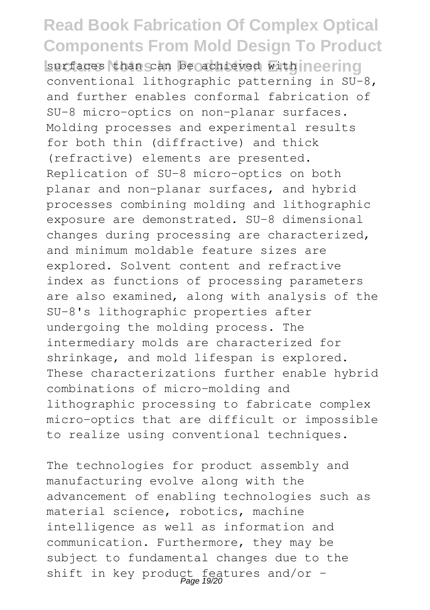### **Read Book Fabrication Of Complex Optical Components From Mold Design To Product** surfaces than can be achieved with neering conventional lithographic patterning in SU-8, and further enables conformal fabrication of SU-8 micro-optics on non-planar surfaces. Molding processes and experimental results for both thin (diffractive) and thick (refractive) elements are presented. Replication of SU-8 micro-optics on both planar and non-planar surfaces, and hybrid processes combining molding and lithographic exposure are demonstrated. SU-8 dimensional changes during processing are characterized, and minimum moldable feature sizes are explored. Solvent content and refractive index as functions of processing parameters are also examined, along with analysis of the SU-8's lithographic properties after undergoing the molding process. The intermediary molds are characterized for shrinkage, and mold lifespan is explored. These characterizations further enable hybrid combinations of micro-molding and lithographic processing to fabricate complex micro-optics that are difficult or impossible to realize using conventional techniques.

The technologies for product assembly and manufacturing evolve along with the advancement of enabling technologies such as material science, robotics, machine intelligence as well as information and communication. Furthermore, they may be subject to fundamental changes due to the shift in key product features and/or  $-\frac{Page 19/20}$